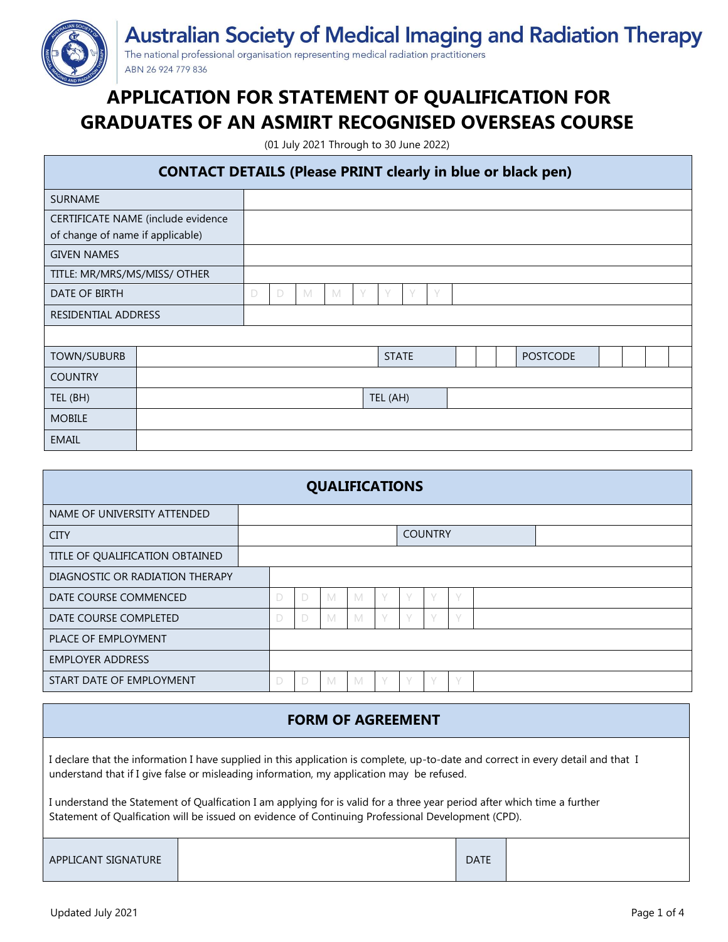

**Australian Society of Medical Imaging and Radiation Therapy** 

The national professional organisation representing medical radiation practitioners ABN 26 924 779 836

# **APPLICATION FOR STATEMENT OF QUALIFICATION FOR GRADUATES OF AN ASMIRT RECOGNISED OVERSEAS COURSE**

(01 July 2021 Through to 30 June 2022)

### **CONTACT DETAILS (Please PRINT clearly in blue or black pen)**

| <b>SURNAME</b>                     |  |   |   |   |   |  |              |           |        |  |  |  |                 |  |  |  |
|------------------------------------|--|---|---|---|---|--|--------------|-----------|--------|--|--|--|-----------------|--|--|--|
| CERTIFICATE NAME (include evidence |  |   |   |   |   |  |              |           |        |  |  |  |                 |  |  |  |
| of change of name if applicable)   |  |   |   |   |   |  |              |           |        |  |  |  |                 |  |  |  |
| <b>GIVEN NAMES</b>                 |  |   |   |   |   |  |              |           |        |  |  |  |                 |  |  |  |
| TITLE: MR/MRS/MS/MISS/ OTHER       |  |   |   |   |   |  |              |           |        |  |  |  |                 |  |  |  |
| DATE OF BIRTH                      |  | D | D | M | M |  |              | $\sqrt{}$ | $\vee$ |  |  |  |                 |  |  |  |
| <b>RESIDENTIAL ADDRESS</b>         |  |   |   |   |   |  |              |           |        |  |  |  |                 |  |  |  |
|                                    |  |   |   |   |   |  |              |           |        |  |  |  |                 |  |  |  |
| <b>TOWN/SUBURB</b>                 |  |   |   |   |   |  | <b>STATE</b> |           |        |  |  |  | <b>POSTCODE</b> |  |  |  |
| <b>COUNTRY</b>                     |  |   |   |   |   |  |              |           |        |  |  |  |                 |  |  |  |
| TEL (BH)                           |  |   |   |   |   |  | TEL (AH)     |           |        |  |  |  |                 |  |  |  |
| <b>MOBILE</b>                      |  |   |   |   |   |  |              |           |        |  |  |  |                 |  |  |  |
| <b>EMAIL</b>                       |  |   |   |   |   |  |              |           |        |  |  |  |                 |  |  |  |

| <b>QUALIFICATIONS</b>           |  |   |   |   |   |        |                |             |        |  |  |
|---------------------------------|--|---|---|---|---|--------|----------------|-------------|--------|--|--|
| NAME OF UNIVERSITY ATTENDED     |  |   |   |   |   |        |                |             |        |  |  |
| <b>CITY</b>                     |  |   |   |   |   |        | <b>COUNTRY</b> |             |        |  |  |
| TITLE OF QUALIFICATION OBTAINED |  |   |   |   |   |        |                |             |        |  |  |
| DIAGNOSTIC OR RADIATION THERAPY |  |   |   |   |   |        |                |             |        |  |  |
| DATE COURSE COMMENCED           |  | D | D | M | M | V      | $\setminus$    | $\setminus$ | V      |  |  |
| DATE COURSE COMPLETED           |  | D | D | M | M | $\vee$ | $\sqrt{}$      | $\sqrt{}$   | $\vee$ |  |  |
| PLACE OF EMPLOYMENT             |  |   |   |   |   |        |                |             |        |  |  |
| <b>EMPLOYER ADDRESS</b>         |  |   |   |   |   |        |                |             |        |  |  |
| START DATE OF EMPLOYMENT        |  | D | D | M | M | V      | $\sqrt{}$      | $\sqrt{}$   | V      |  |  |

## **FORM OF AGREEMENT**

I declare that the information I have supplied in this application is complete, up-to-date and correct in every detail and that I understand that if I give false or misleading information, my application may be refused.

I understand the Statement of Qualfication I am applying for is valid for a three year period after which time a further Statement of Qualfication will be issued on evidence of Continuing Professional Development (CPD).

| APPLICANT SIGNATURE | <b>DATE</b> |  |
|---------------------|-------------|--|
|                     |             |  |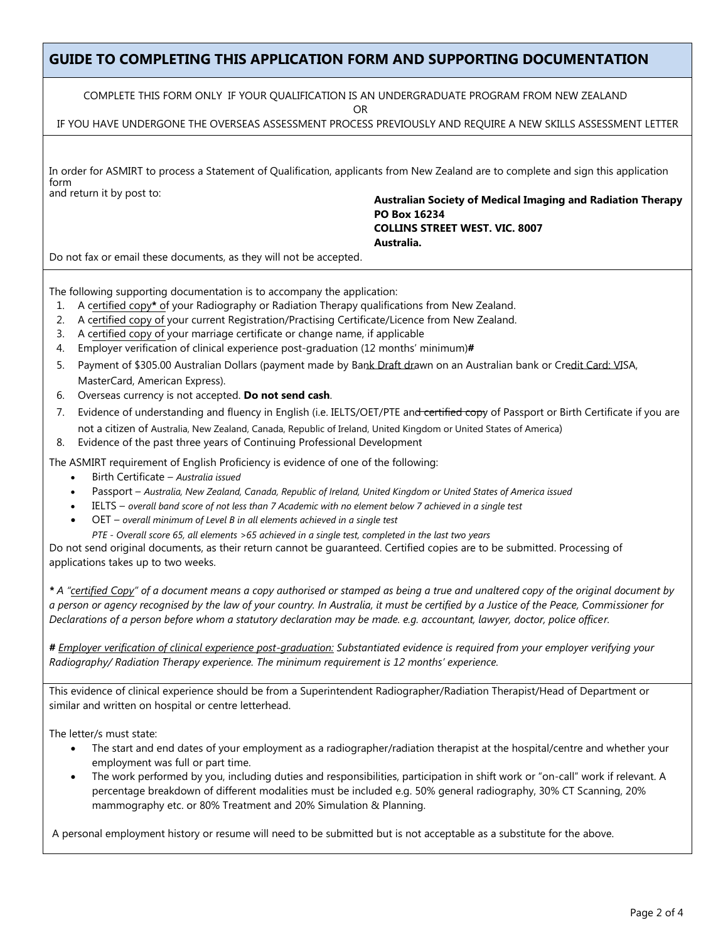### **GUIDE TO COMPLETING THIS APPLICATION FORM AND SUPPORTING DOCUMENTATION**

COMPLETE THIS FORM ONLY IF YOUR QUALIFICATION IS AN UNDERGRADUATE PROGRAM FROM NEW ZEALAND

OR

IF YOU HAVE UNDERGONE THE OVERSEAS ASSESSMENT PROCESS PREVIOUSLY AND REQUIRE A NEW SKILLS ASSESSMENT LETTER

| In order for ASMIRT to process a Statement of Qualification, applicants from New Zealand are to complete and sign this application |  |
|------------------------------------------------------------------------------------------------------------------------------------|--|
| form                                                                                                                               |  |
| and return it hy nost to:                                                                                                          |  |

and return it by post to: **Australian Society of Medical Imaging and Radiation Therapy PO Box 16234 COLLINS STREET WEST. VIC. 8007 Australia.**

Do not fax or email these documents, as they will not be accepted.

The following supporting documentation is to accompany the application:

- 1. A certified copy**\*** of your Radiography or Radiation Therapy qualifications from New Zealand.
- 2. A certified copy of your current Registration/Practising Certificate/Licence from New Zealand.
- 3. A certified copy of your marriage certificate or change name, if applicable
- 4. Employer verification of clinical experience post-graduation (12 months' minimum)**#**
- 5. Payment of \$305.00 Australian Dollars (payment made by Bank Draft drawn on an Australian bank or Credit Card: VISA, MasterCard, American Express).
- 6. Overseas currency is not accepted. **Do not send cash**.
- 7. Evidence of understanding and fluency in English (i.e. IELTS/OET/PTE an<del>d certified copy</del> of Passport or Birth Certificate if you are not a citizen of Australia, New Zealand, Canada, Republic of Ireland, United Kingdom or United States of America)
- 8. Evidence of the past three years of Continuing Professional Development

The ASMIRT requirement of English Proficiency is evidence of one of the following:

- Birth Certificate *– Australia issued*
- Passport *– Australia, New Zealand, Canada, Republic of Ireland, United Kingdom or United States of America issued*
- IELTS *– overall band score of not less than 7 Academic with no element below 7 achieved in a single test*
- OET *– overall minimum of Level B in all elements achieved in a single test*
	- *PTE Overall score 65, all elements >65 achieved in a single test, completed in the last two years*

Do not send original documents, as their return cannot be guaranteed. Certified copies are to be submitted. Processing of applications takes up to two weeks.

*\* A "certified Copy" of a document means a copy authorised or stamped as being a true and unaltered copy of the original document by a person or agency recognised by the law of your country. In Australia, it must be certified by a Justice of the Peace, Commissioner for Declarations of a person before whom a statutory declaration may be made. e.g. accountant, lawyer, doctor, police officer.*

*# Employer verification of clinical experience post-graduation: Substantiated evidence is required from your employer verifying your Radiography/ Radiation Therapy experience. The minimum requirement is 12 months' experience.* 

This evidence of clinical experience should be from a Superintendent Radiographer/Radiation Therapist/Head of Department or similar and written on hospital or centre letterhead.

The letter/s must state:

- The start and end dates of your employment as a radiographer/radiation therapist at the hospital/centre and whether your employment was full or part time.
- The work performed by you, including duties and responsibilities, participation in shift work or "on-call" work if relevant. A percentage breakdown of different modalities must be included e.g. 50% general radiography, 30% CT Scanning, 20% mammography etc. or 80% Treatment and 20% Simulation & Planning.

A personal employment history or resume will need to be submitted but is not acceptable as a substitute for the above.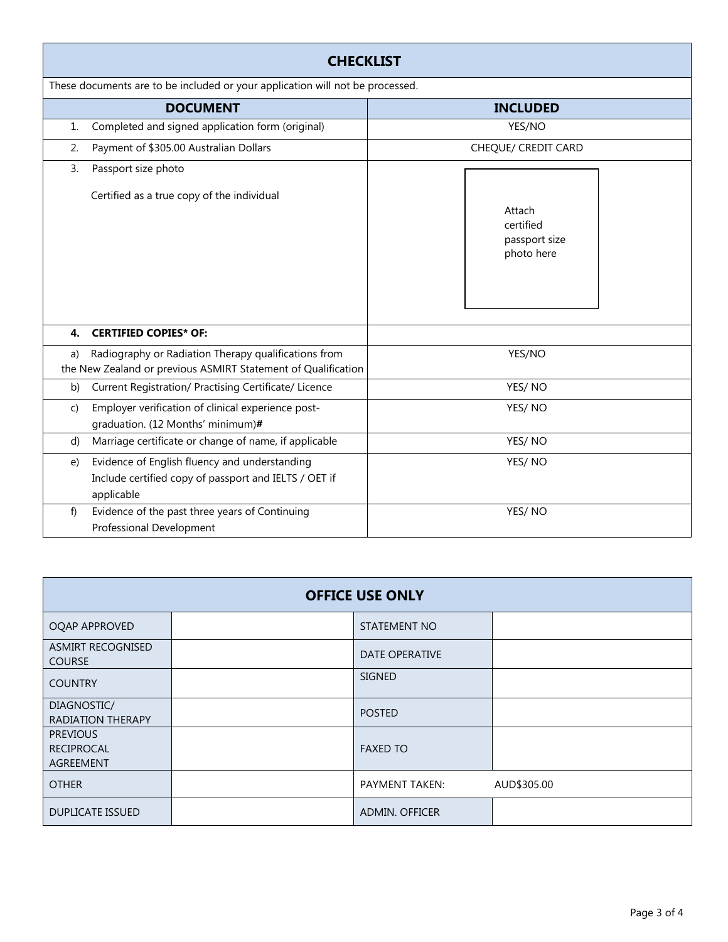|    | <b>CHECKLIST</b>                                                                                                      |                                                    |  |  |  |  |  |
|----|-----------------------------------------------------------------------------------------------------------------------|----------------------------------------------------|--|--|--|--|--|
|    | These documents are to be included or your application will not be processed.                                         |                                                    |  |  |  |  |  |
|    | <b>DOCUMENT</b>                                                                                                       | <b>INCLUDED</b>                                    |  |  |  |  |  |
| 1. | Completed and signed application form (original)                                                                      | YES/NO                                             |  |  |  |  |  |
| 2. | Payment of \$305.00 Australian Dollars                                                                                | CHEQUE/ CREDIT CARD                                |  |  |  |  |  |
| 3. | Passport size photo<br>Certified as a true copy of the individual                                                     | Attach<br>certified<br>passport size<br>photo here |  |  |  |  |  |
| 4. | <b>CERTIFIED COPIES* OF:</b>                                                                                          |                                                    |  |  |  |  |  |
| a) | Radiography or Radiation Therapy qualifications from<br>the New Zealand or previous ASMIRT Statement of Qualification | YES/NO                                             |  |  |  |  |  |
| b) | Current Registration/ Practising Certificate/ Licence                                                                 | YES/NO                                             |  |  |  |  |  |
| C) | Employer verification of clinical experience post-<br>graduation. (12 Months' minimum)#                               | YES/NO                                             |  |  |  |  |  |
| d) | Marriage certificate or change of name, if applicable                                                                 | YES/NO                                             |  |  |  |  |  |
| e) | Evidence of English fluency and understanding<br>Include certified copy of passport and IELTS / OET if<br>applicable  | YES/NO                                             |  |  |  |  |  |
| f) | Evidence of the past three years of Continuing<br>Professional Development                                            | YES/NO                                             |  |  |  |  |  |

| <b>OFFICE USE ONLY</b>                            |  |                       |             |  |  |  |
|---------------------------------------------------|--|-----------------------|-------------|--|--|--|
| OQAP APPROVED                                     |  | STATEMENT NO          |             |  |  |  |
| ASMIRT RECOGNISED<br><b>COURSE</b>                |  | <b>DATE OPERATIVE</b> |             |  |  |  |
| <b>COUNTRY</b>                                    |  | SIGNED                |             |  |  |  |
| DIAGNOSTIC/<br><b>RADIATION THERAPY</b>           |  | <b>POSTED</b>         |             |  |  |  |
| <b>PREVIOUS</b><br>RECIPROCAL<br><b>AGREEMENT</b> |  | <b>FAXED TO</b>       |             |  |  |  |
| <b>OTHER</b>                                      |  | <b>PAYMENT TAKEN:</b> | AUD\$305.00 |  |  |  |
| <b>DUPLICATE ISSUED</b>                           |  | <b>ADMIN. OFFICER</b> |             |  |  |  |